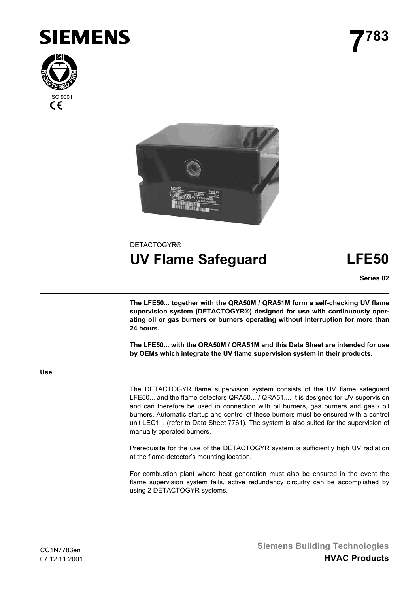





# **DETACTOGYR® UV Flame Safeguard LFE50**

**Series 02**

**The LFE50... together with the QRA50M / QRA51M form a self-checking UV flame supervision system (DETACTOGYR®) designed for use with continuously operating oil or gas burners or burners operating without interruption for more than 24 hours.**

**The LFE50... with the QRA50M / QRA51M and this Data Sheet are intended for use by OEMs which integrate the UV flame supervision system in their products.**

# **Use**

The DETACTOGYR flame supervision system consists of the UV flame safeguard LFE50... and the flame detectors QRA50... / QRA51.... It is designed for UV supervision and can therefore be used in connection with oil burners, gas burners and gas / oil burners. Automatic startup and control of these burners must be ensured with a control unit LEC1... (refer to Data Sheet 7761). The system is also suited for the supervision of manually operated burners.

Prerequisite for the use of the DETACTOGYR system is sufficiently high UV radiation at the flame detector's mounting location.

For combustion plant where heat generation must also be ensured in the event the flame supervision system fails, active redundancy circuitry can be accomplished by using 2 DETACTOGYR systems.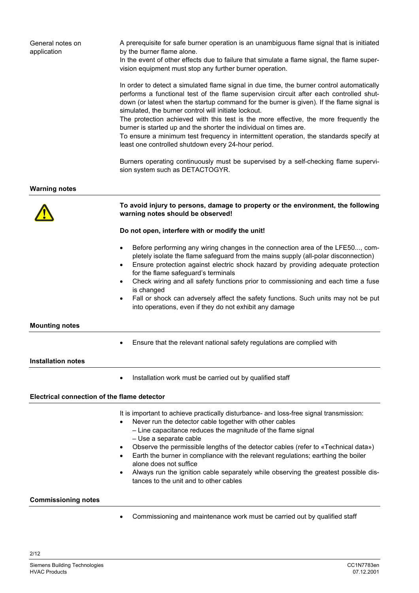| General notes on<br>application             | A prerequisite for safe burner operation is an unambiguous flame signal that is initiated<br>by the burner flame alone.<br>In the event of other effects due to failure that simulate a flame signal, the flame super-<br>vision equipment must stop any further burner operation.                                                                                                                                                                                                                                                                                                       |
|---------------------------------------------|------------------------------------------------------------------------------------------------------------------------------------------------------------------------------------------------------------------------------------------------------------------------------------------------------------------------------------------------------------------------------------------------------------------------------------------------------------------------------------------------------------------------------------------------------------------------------------------|
|                                             | In order to detect a simulated flame signal in due time, the burner control automatically<br>performs a functional test of the flame supervision circuit after each controlled shut-<br>down (or latest when the startup command for the burner is given). If the flame signal is<br>simulated, the burner control will initiate lockout.<br>The protection achieved with this test is the more effective, the more frequently the                                                                                                                                                       |
|                                             | burner is started up and the shorter the individual on times are.<br>To ensure a minimum test frequency in intermittent operation, the standards specify at<br>least one controlled shutdown every 24-hour period.                                                                                                                                                                                                                                                                                                                                                                       |
|                                             | Burners operating continuously must be supervised by a self-checking flame supervi-<br>sion system such as DETACTOGYR.                                                                                                                                                                                                                                                                                                                                                                                                                                                                   |
| <b>Warning notes</b>                        |                                                                                                                                                                                                                                                                                                                                                                                                                                                                                                                                                                                          |
|                                             | To avoid injury to persons, damage to property or the environment, the following<br>warning notes should be observed!                                                                                                                                                                                                                                                                                                                                                                                                                                                                    |
|                                             | Do not open, interfere with or modify the unit!                                                                                                                                                                                                                                                                                                                                                                                                                                                                                                                                          |
|                                             | Before performing any wiring changes in the connection area of the LFE50, com-<br>٠<br>pletely isolate the flame safeguard from the mains supply (all-polar disconnection)<br>Ensure protection against electric shock hazard by providing adequate protection<br>$\bullet$<br>for the flame safeguard's terminals<br>Check wiring and all safety functions prior to commissioning and each time a fuse<br>$\bullet$<br>is changed<br>Fall or shock can adversely affect the safety functions. Such units may not be put<br>٠<br>into operations, even if they do not exhibit any damage |
| <b>Mounting notes</b>                       |                                                                                                                                                                                                                                                                                                                                                                                                                                                                                                                                                                                          |
|                                             | Ensure that the relevant national safety regulations are complied with                                                                                                                                                                                                                                                                                                                                                                                                                                                                                                                   |
| <b>Installation notes</b>                   |                                                                                                                                                                                                                                                                                                                                                                                                                                                                                                                                                                                          |
|                                             | Installation work must be carried out by qualified staff                                                                                                                                                                                                                                                                                                                                                                                                                                                                                                                                 |
| Electrical connection of the flame detector |                                                                                                                                                                                                                                                                                                                                                                                                                                                                                                                                                                                          |
|                                             | It is important to achieve practically disturbance- and loss-free signal transmission:<br>Never run the detector cable together with other cables<br>- Line capacitance reduces the magnitude of the flame signal<br>- Use a separate cable<br>Observe the permissible lengths of the detector cables (refer to «Technical data»)<br>Earth the burner in compliance with the relevant regulations; earthing the boiler<br>alone does not suffice<br>Always run the ignition cable separately while observing the greatest possible dis-<br>tances to the unit and to other cables        |
| <b>Commissioning notes</b>                  |                                                                                                                                                                                                                                                                                                                                                                                                                                                                                                                                                                                          |
|                                             | Commissioning and maintenance work must be carried out by qualified staff                                                                                                                                                                                                                                                                                                                                                                                                                                                                                                                |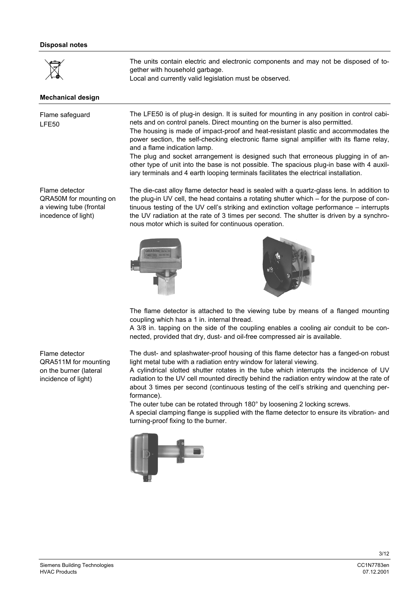## **Disposal notes**

|             | The units contain electric and electronic components and may not be disposed of to- |
|-------------|-------------------------------------------------------------------------------------|
| $\boxtimes$ | gether with household garbage.                                                      |
|             | Local and currently valid legislation must be observed.                             |

### **Mechanical design**

Flame safeguard LFE50

The LFE50 is of plug-in design. It is suited for mounting in any position in control cabinets and on control panels. Direct mounting on the burner is also permitted.

The housing is made of impact-proof and heat-resistant plastic and accommodates the power section, the self-checking electronic flame signal amplifier with its flame relay, and a flame indication lamp.

The plug and socket arrangement is designed such that erroneous plugging in of another type of unit into the base is not possible. The spacious plug-in base with 4 auxiliary terminals and 4 earth looping terminals facilitates the electrical installation.

Flame detector QRA50M for mounting on a viewing tube (frontal incedence of light)

The die-cast alloy flame detector head is sealed with a quartz-glass lens. In addition to the plug-in UV cell, the head contains a rotating shutter which – for the purpose of continuous testing of the UV cell's striking and extinction voltage performance – interrupts the UV radiation at the rate of 3 times per second. The shutter is driven by a synchronous motor which is suited for continuous operation.





The flame detector is attached to the viewing tube by means of a flanged mounting coupling which has a 1 in. internal thread.

A 3/8 in. tapping on the side of the coupling enables a cooling air conduit to be connected, provided that dry, dust- and oil-free compressed air is available.

The dust- and splashwater-proof housing of this flame detector has a fanged-on robust light metal tube with a radiation entry window for lateral viewing.

A cylindrical slotted shutter rotates in the tube which interrupts the incidence of UV radiation to the UV cell mounted directly behind the radiation entry window at the rate of about 3 times per second (continuous testing of the cell's striking and quenching performance).

The outer tube can be rotated through 180° by loosening 2 locking screws.

A special clamping flange is supplied with the flame detector to ensure its vibration- and turning-proof fixing to the burner.



Flame detector QRA511M for mounting on the burner (lateral incidence of light)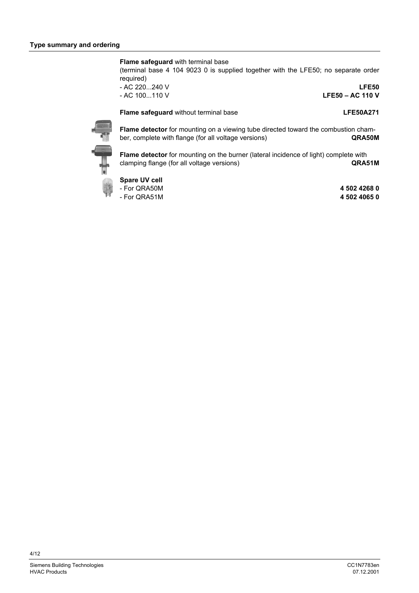**Flame safeguard** with terminal base

(terminal base 4 104 9023 0 is supplied together with the LFE50; no separate order required)

- AC 220...240 V **LFE50**

- AC 100...110 V **LFE50 – AC 110 V**

**Flame safeguard** without terminal base **LEG50A271** 



**Flame detector** for mounting on a viewing tube directed toward the combustion chamber, complete with flange (for all voltage versions) **QRA50M**

**Flame detector** for mounting on the burner (lateral incidence of light) complete with clamping flange (for all voltage versions) **QRA51M**

**Spare UV cell**

- 
- $-$  For QRA51M

- For QRA50M **4 502 4268 0**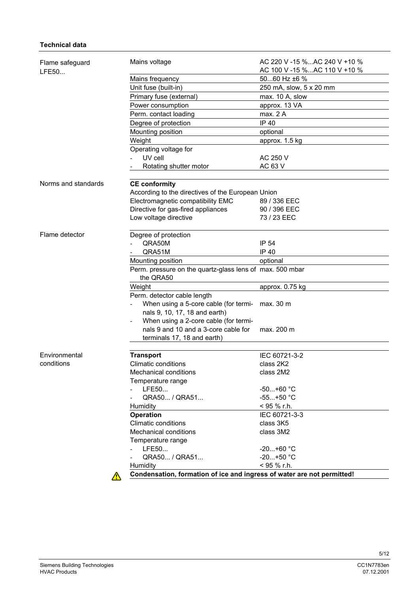# **Technical data**

| Flame safeguard<br>LFE50 | Mains voltage                                                                                                | AC 220 V -15 %AC 240 V +10 %<br>AC 100 V -15 %AC 110 V +10 % |
|--------------------------|--------------------------------------------------------------------------------------------------------------|--------------------------------------------------------------|
|                          | Mains frequency                                                                                              | 5060 Hz $\pm 6$ %                                            |
|                          | Unit fuse (built-in)                                                                                         | 250 mA, slow, 5 x 20 mm                                      |
|                          | Primary fuse (external)                                                                                      | max. 10 A, slow                                              |
|                          | Power consumption                                                                                            | approx. 13 VA                                                |
|                          | Perm. contact loading                                                                                        | max. 2 A                                                     |
|                          | Degree of protection                                                                                         | IP 40                                                        |
|                          | Mounting position                                                                                            | optional                                                     |
|                          | Weight                                                                                                       | approx. 1.5 kg                                               |
|                          | Operating voltage for                                                                                        |                                                              |
|                          | UV cell                                                                                                      | AC 250 V                                                     |
|                          | Rotating shutter motor                                                                                       | AC 63 V                                                      |
|                          |                                                                                                              |                                                              |
| Norms and standards      | <b>CE conformity</b>                                                                                         |                                                              |
|                          | According to the directives of the European Union                                                            |                                                              |
|                          | Electromagnetic compatibility EMC                                                                            | 89 / 336 EEC                                                 |
|                          | Directive for gas-fired appliances                                                                           | 90 / 396 EEC                                                 |
|                          | Low voltage directive                                                                                        | 73 / 23 EEC                                                  |
| Flame detector           | Degree of protection                                                                                         |                                                              |
|                          | QRA50M                                                                                                       | IP 54                                                        |
|                          | QRA51M                                                                                                       | IP 40                                                        |
|                          | Mounting position                                                                                            | optional                                                     |
|                          | Perm. pressure on the quartz-glass lens of max. 500 mbar<br>the QRA50                                        |                                                              |
|                          | Weight                                                                                                       | approx. 0.75 kg                                              |
|                          | Perm. detector cable length                                                                                  |                                                              |
|                          | When using a 5-core cable (for termi-<br>nals 9, 10, 17, 18 and earth)                                       | max. 30 m                                                    |
|                          | When using a 2-core cable (for termi-<br>nals 9 and 10 and a 3-core cable for<br>terminals 17, 18 and earth) | max. 200 m                                                   |
|                          |                                                                                                              |                                                              |
| Environmental            | <b>Transport</b>                                                                                             | IEC 60721-3-2                                                |
| conditions               | Climatic conditions                                                                                          | class 2K2                                                    |
|                          | <b>Mechanical conditions</b>                                                                                 | class 2M2                                                    |
|                          | Temperature range                                                                                            |                                                              |
|                          | LFE50                                                                                                        | $-50+60$ °C                                                  |
|                          | QRA50 / QRA51                                                                                                | $-55+50$ °C                                                  |
|                          | Humidity                                                                                                     | < 95 % r.h.                                                  |
|                          | <b>Operation</b>                                                                                             | IEC 60721-3-3                                                |
|                          | <b>Climatic conditions</b>                                                                                   | class 3K5                                                    |
|                          | <b>Mechanical conditions</b>                                                                                 | class 3M2                                                    |
|                          | Temperature range                                                                                            |                                                              |
|                          | LFE50                                                                                                        | $-20+60 °C$                                                  |
|                          | QRA50 / QRA51                                                                                                | $-20+50$ °C                                                  |
|                          | Humidity                                                                                                     | < 95 % r.h.                                                  |
|                          | Condensation, formation of ice and ingress of water are not permitted!                                       |                                                              |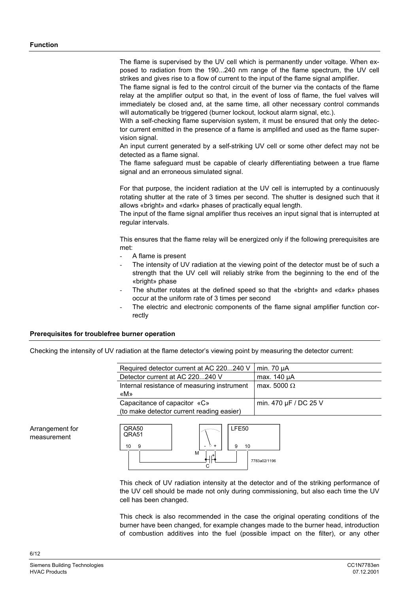The flame is supervised by the UV cell which is permanently under voltage. When exposed to radiation from the 190...240 nm range of the flame spectrum, the UV cell strikes and gives rise to a flow of current to the input of the flame signal amplifier.

The flame signal is fed to the control circuit of the burner via the contacts of the flame relay at the amplifier output so that, in the event of loss of flame, the fuel valves will immediately be closed and, at the same time, all other necessary control commands will automatically be triggered (burner lockout, lockout alarm signal, etc.).

With a self-checking flame supervision system, it must be ensured that only the detector current emitted in the presence of a flame is amplified and used as the flame supervision signal.

An input current generated by a self-striking UV cell or some other defect may not be detected as a flame signal.

The flame safeguard must be capable of clearly differentiating between a true flame signal and an erroneous simulated signal.

For that purpose, the incident radiation at the UV cell is interrupted by a continuously rotating shutter at the rate of 3 times per second. The shutter is designed such that it allows «bright» and «dark» phases of practically equal length.

The input of the flame signal amplifier thus receives an input signal that is interrupted at regular intervals.

This ensures that the flame relay will be energized only if the following prerequisites are met:

- A flame is present
- The intensity of UV radiation at the viewing point of the detector must be of such a strength that the UV cell will reliably strike from the beginning to the end of the «bright» phase
- The shutter rotates at the defined speed so that the «bright» and «dark» phases occur at the uniform rate of 3 times per second
- The electric and electronic components of the flame signal amplifier function correctly

# **Prerequisites for troublefree burner operation**

Checking the intensity of UV radiation at the flame detector's viewing point by measuring the detector current:

| Required detector current at AC 220240 V                                  | min. $70 \mu A$       |
|---------------------------------------------------------------------------|-----------------------|
| Detector current at AC 220240 V                                           | max. 140 µA           |
| Internal resistance of measuring instrument<br>«M»                        | max. 5000 $\Omega$    |
| Capacitance of capacitor «C»<br>(to make detector current reading easier) | min. 470 µF / DC 25 V |

Arrangement for measurement



This check of UV radiation intensity at the detector and of the striking performance of the UV cell should be made not only during commissioning, but also each time the UV cell has been changed.

This check is also recommended in the case the original operating conditions of the burner have been changed, for example changes made to the burner head, introduction of combustion additives into the fuel (possible impact on the filter), or any other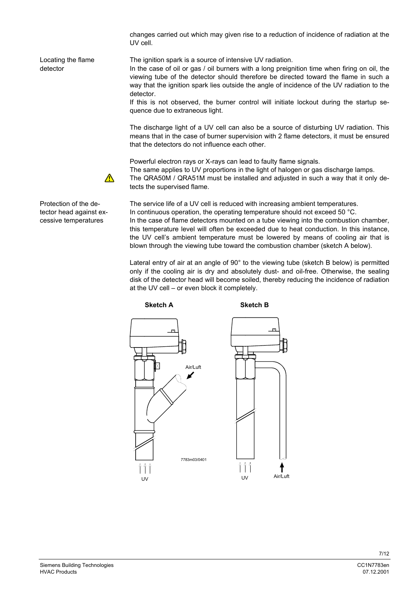changes carried out which may given rise to a reduction of incidence of radiation at the UV cell.

Locating the flame detector

The ignition spark is a source of intensive UV radiation.

In the case of oil or gas / oil burners with a long preignition time when firing on oil, the viewing tube of the detector should therefore be directed toward the flame in such a way that the ignition spark lies outside the angle of incidence of the UV radiation to the detector.

If this is not observed, the burner control will initiate lockout during the startup sequence due to extraneous light.

The discharge light of a UV cell can also be a source of disturbing UV radiation. This means that in the case of burner supervision with 2 flame detectors, it must be ensured that the detectors do not influence each other.

Powerful electron rays or X-rays can lead to faulty flame signals. The same applies to UV proportions in the light of halogen or gas discharge lamps. The QRA50M / QRA51M must be installed and adjusted in such a way that it only detects the supervised flame.

The service life of a UV cell is reduced with increasing ambient temperatures. In continuous operation, the operating temperature should not exceed 50 °C. In the case of flame detectors mounted on a tube viewing into the combustion chamber, this temperature level will often be exceeded due to heat conduction. In this instance, the UV cell's ambient temperature must be lowered by means of cooling air that is blown through the viewing tube toward the combustion chamber (sketch A below).

Lateral entry of air at an angle of 90° to the viewing tube (sketch B below) is permitted only if the cooling air is dry and absolutely dust- and oil-free. Otherwise, the sealing disk of the detector head will become soiled, thereby reducing the incidence of radiation at the UV cell – or even block it completely.



cessive temperatures

Protection of the detector head against ex-

 $\Lambda$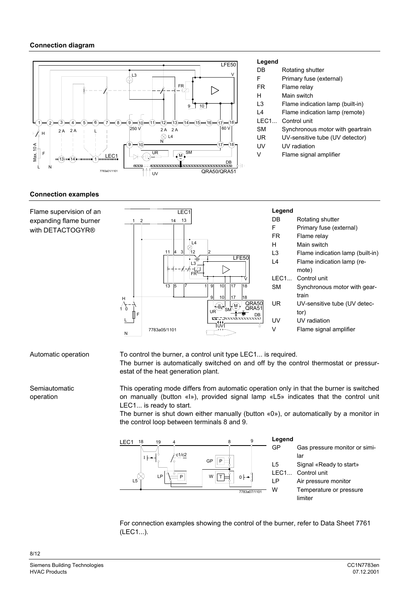

#### **Legend**

- DB Rotating shutter
- F Primary fuse (external)
- FR Flame relay
- H Main switch
- L3 Flame indication lamp (built-in)
- L4 Flame indication lamp (remote)
- LEC1... Control unit
- SM Synchronous motor with geartrain
- UR UV-sensitive tube (UV detector)
- UV UV radiation
- V Flame signal amplifier

## **Connection examples**

Flame supervision of an expanding flame burner with DETACTOGYR®



Automatic operation

To control the burner, a control unit type LEC1... is required. The burner is automatically switched on and off by the control thermostat or pressurestat of the heat generation plant.

Semiautomatic operation

This operating mode differs from automatic operation only in that the burner is switched on manually (button «I»), provided signal lamp «L5» indicates that the control unit LEC1... is ready to start.

The burner is shut down either manually (button «0»), or automatically by a monitor in the control loop between terminals 8 and 9.



For connection examples showing the control of the burner, refer to Data Sheet 7761 (LEC1...).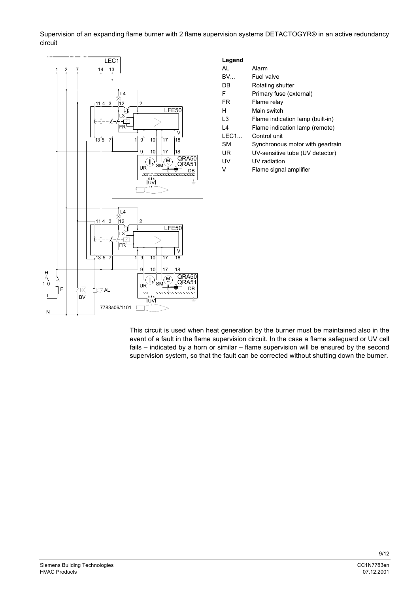Supervision of an expanding flame burner with 2 flame supervision systems DETACTOGYR® in an active redundancy circuit



| Legend |                                  |
|--------|----------------------------------|
| AI     | Alarm                            |
| BV     | Fuel valve                       |
| DB     | Rotating shutter                 |
| F      | Primary fuse (external)          |
| FR     | Flame relay                      |
| н      | Main switch                      |
| L3     | Flame indication lamp (built-in) |
| L4     | Flame indication lamp (remote)   |
| I FC1  | Control unit                     |
| SМ     | Synchronous motor with geartrain |
| UR     | UV-sensitive tube (UV detector)  |
| UV     | UV radiation                     |
| v      | Flame signal amplifier           |
|        |                                  |
|        |                                  |
|        |                                  |
|        |                                  |

This circuit is used when heat generation by the burner must be maintained also in the event of a fault in the flame supervision circuit. In the case a flame safeguard or UV cell fails – indicated by a horn or similar – flame supervision will be ensured by the second supervision system, so that the fault can be corrected without shutting down the burner.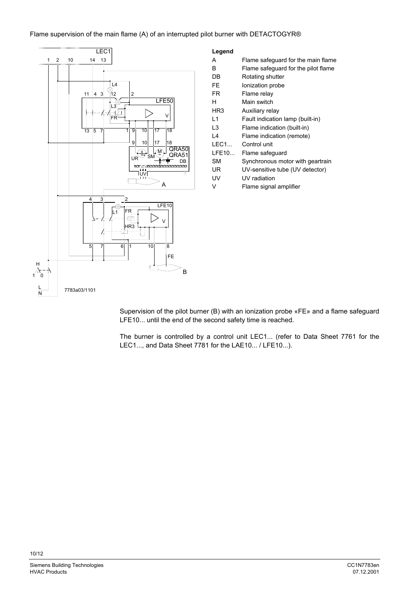## Flame supervision of the main flame (A) of an interrupted pilot burner with DETACTOGYR®



| Legend         |                                     |
|----------------|-------------------------------------|
| А              | Flame safequard for the main flame  |
| B              | Flame safeguard for the pilot flame |
| DB             | Rotating shutter                    |
| FE             | Ionization probe                    |
| FR             | Flame relay                         |
| н              | Main switch                         |
| HR3            | Auxiliary relay                     |
| $\overline{1}$ | Fault indication lamp (built-in)    |
| l 3            | Flame indication (built-in)         |
| l 4            | Flame indication (remote)           |
| I FC1.         | Control unit                        |
| LFE10          | Flame safeguard                     |
| <b>SM</b>      | Synchronous motor with geartrain    |
| UR             | UV-sensitive tube (UV detector)     |
| UV             | UV radiation                        |
| v              | Flame signal amplifier              |
|                |                                     |

Supervision of the pilot burner (B) with an ionization probe «FE» and a flame safeguard LFE10... until the end of the second safety time is reached.

The burner is controlled by a control unit LEC1... (refer to Data Sheet 7761 for the LEC1..., and Data Sheet 7781 for the LAE10... / LFE10...).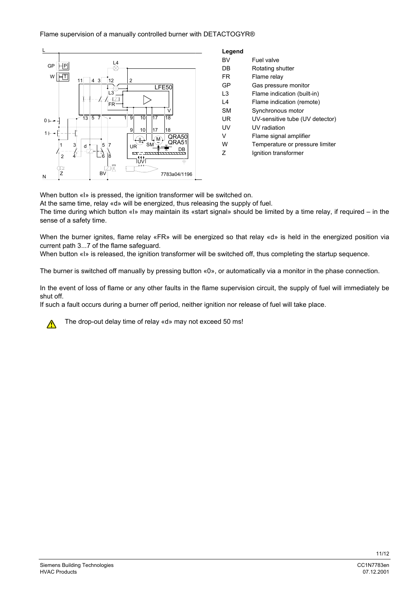## Flame supervision of a manually controlled burner with DETACTOGYR®



| BV        | Fuel valve                      |
|-----------|---------------------------------|
| DB        | Rotating shutter                |
| FR        | Flame relay                     |
| GP        | Gas pressure monitor            |
| L3        | Flame indication (built-in)     |
| l 4       | Flame indication (remote)       |
| <b>SM</b> | Synchronous motor               |
| UR        | UV-sensitive tube (UV detector) |
| UV        | UV radiation                    |
| v         | Flame signal amplifier          |
| W         | Temperature or pressure limiter |
| 7         | Ignition transformer            |
|           |                                 |

When button «I» is pressed, the ignition transformer will be switched on.

At the same time, relay «d» will be energized, thus releasing the supply of fuel.

The time during which button «I» may maintain its «start signal» should be limited by a time relay, if required – in the sense of a safety time.

When the burner ignites, flame relay «FR» will be energized so that relay «d» is held in the energized position via current path 3...7 of the flame safeguard.

When button «I» is released, the ignition transformer will be switched off, thus completing the startup sequence.

The burner is switched off manually by pressing button «0», or automatically via a monitor in the phase connection.

In the event of loss of flame or any other faults in the flame supervision circuit, the supply of fuel will immediately be shut off.

If such a fault occurs during a burner off period, neither ignition nor release of fuel will take place.



The drop-out delay time of relay «d» may not exceed 50 ms!